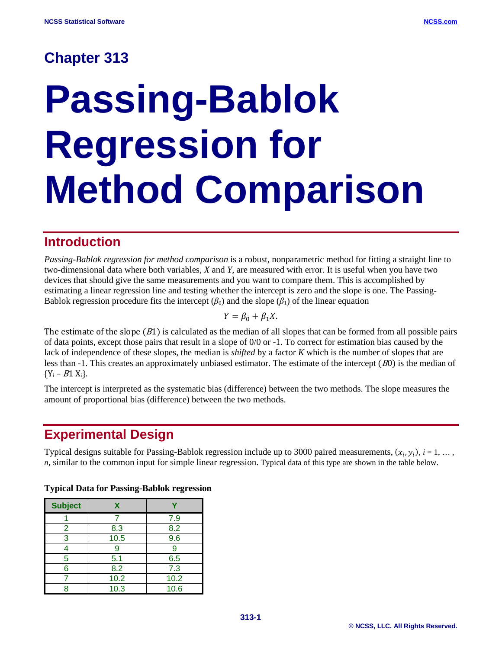# **Chapter 313**

# **Passing-Bablok Regression for Method Comparison**

## **Introduction**

*Passing-Bablok regression for method comparison* is a robust, nonparametric method for fitting a straight line to two-dimensional data where both variables, *X* and *Y*, are measured with error. It is useful when you have two devices that should give the same measurements and you want to compare them. This is accomplished by estimating a linear regression line and testing whether the intercept is zero and the slope is one. The Passing-Bablok regression procedure fits the intercept  $(\beta_0)$  and the slope  $(\beta_1)$  of the linear equation

$$
Y = \beta_0 + \beta_1 X.
$$

The estimate of the slope  $(B1)$  is calculated as the median of all slopes that can be formed from all possible pairs of data points, except those pairs that result in a slope of 0/0 or -1. To correct for estimation bias caused by the lack of independence of these slopes, the median is *shifted* by a factor *K* which is the number of slopes that are less than -1. This creates an approximately unbiased estimator. The estimate of the intercept (<sup>B</sup>0) is the median of  ${Y_i - B1 X_i}.$ 

The intercept is interpreted as the systematic bias (difference) between the two methods. The slope measures the amount of proportional bias (difference) between the two methods.

# **Experimental Design**

Typical designs suitable for Passing-Bablok regression include up to 3000 paired measurements,  $(x_i, y_i)$ ,  $i = 1, \ldots$ , *n*, similar to the common input for simple linear regression. Typical data of this type are shown in the table below.

| <b>Subject</b> | x    |      |
|----------------|------|------|
|                |      | 7.9  |
| 2              | 8.3  | 8.2  |
| 3              | 10.5 | 9.6  |
|                |      | 9    |
| 5              | 5.1  | 6.5  |
| 6              | 8.2  | 7.3  |
|                | 10.2 | 10.2 |
|                | 10.3 | 10.6 |

#### **Typical Data for Passing-Bablok regression**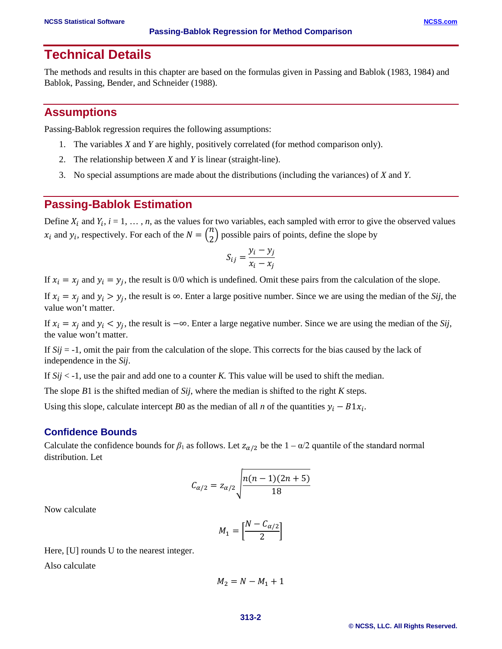## **Technical Details**

The methods and results in this chapter are based on the formulas given in Passing and Bablok (1983, 1984) and Bablok, Passing, Bender, and Schneider (1988).

#### **Assumptions**

Passing-Bablok regression requires the following assumptions:

- 1. The variables *X* and *Y* are highly, positively correlated (for method comparison only).
- 2. The relationship between *X* and *Y* is linear (straight-line).
- 3. No special assumptions are made about the distributions (including the variances) of *X* and *Y*.

#### **Passing-Bablok Estimation**

Define  $X_i$  and  $Y_i$ ,  $i = 1, ..., n$ , as the values for two variables, each sampled with error to give the observed values  $x_i$  and  $y_i$ , respectively. For each of the  $N = \binom{n}{2}$  possible pairs of points, define the slope by

$$
S_{ij} = \frac{y_i - y_j}{x_i - x_j}
$$

If  $x_i = x_i$  and  $y_i = y_i$ , the result is 0/0 which is undefined. Omit these pairs from the calculation of the slope.

If  $x_i = x_j$  and  $y_i > y_j$ , the result is  $\infty$ . Enter a large positive number. Since we are using the median of the *Sij*, the value won't matter.

If  $x_i = x_j$  and  $y_i < y_j$ , the result is  $-\infty$ . Enter a large negative number. Since we are using the median of the *Sij*, the value won't matter.

If *Sij* = -1, omit the pair from the calculation of the slope. This corrects for the bias caused by the lack of independence in the *Sij*.

If *Sij* < -1, use the pair and add one to a counter *K.* This value will be used to shift the median.

The slope *B*1 is the shifted median of *Sij*, where the median is shifted to the right *K* steps.

Using this slope, calculate intercept *B*0 as the median of all *n* of the quantities  $y_i - B1x_i$ .

#### **Confidence Bounds**

Calculate the confidence bounds for  $\beta_1$  as follows. Let  $z_{\alpha/2}$  be the  $1 - \alpha/2$  quantile of the standard normal distribution. Let

$$
C_{\alpha/2} = z_{\alpha/2} \sqrt{\frac{n(n-1)(2n+5)}{18}}
$$

Now calculate

$$
M_1 = \left[\frac{N - C_{\alpha/2}}{2}\right]
$$

Here, [U] rounds U to the nearest integer.

Also calculate

$$
M_2 = N - M_1 + 1
$$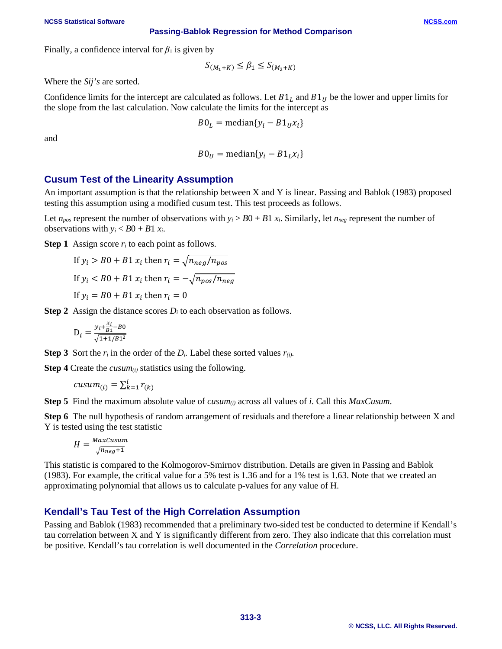#### **NCSS Statistical Software [NCSS.com](http://www.ncss.com/)**

**Passing-Bablok Regression for Method Comparison**

Finally, a confidence interval for  $\beta_1$  is given by

$$
S_{(M_1+K)} \leq \beta_1 \leq S_{(M_2+K)}
$$

Where the *Sij's* are sorted.

Confidence limits for the intercept are calculated as follows. Let  $B1<sub>L</sub>$  and  $B1<sub>U</sub>$  be the lower and upper limits for the slope from the last calculation. Now calculate the limits for the intercept as

$$
B0_L = \text{median}\{y_i - B1_U x_i\}
$$

and

$$
B0_U = \text{median}\{y_i - B1_L x_i\}
$$

#### **Cusum Test of the Linearity Assumption**

An important assumption is that the relationship between X and Y is linear. Passing and Bablok (1983) proposed testing this assumption using a modified cusum test. This test proceeds as follows.

Let  $n_{pos}$  represent the number of observations with  $y_i > B0 + B1 x_i$ . Similarly, let  $n_{neg}$  represent the number of observations with  $y_i < B0 + B1 x_i$ .

**Step 1** Assign score  $r_i$  to each point as follows.

If  $y_i > B0 + B1 x_i$  then  $r_i = \sqrt{n_{neq}/n_{pos}}$ If  $y_i < B0 + B1 x_i$  then  $r_i = -\sqrt{n_{pos}/n_{neg}}$ If  $y_i = B0 + B1 x_i$  then  $r_i = 0$ 

**Step 2** Assign the distance scores  $D_i$  to each observation as follows.

$$
D_i = \frac{y_i + \frac{x_i}{B_1} - B_0}{\sqrt{1 + 1/B_1^2}}
$$

**Step 3** Sort the  $r_i$  in the order of the  $D_i$ . Label these sorted values  $r_{(i)}$ .

**Step 4** Create the *cusum(i)* statistics using the following.

$$
cusum_{(i)} = \sum_{k=1}^{i} r_{(k)}
$$

**Step 5** Find the maximum absolute value of *cusum(i)* across all values of *i*. Call this *MaxCusum*.

**Step 6** The null hypothesis of random arrangement of residuals and therefore a linear relationship between X and Y is tested using the test statistic

$$
H = \frac{MaxCusum}{\sqrt{n_{neg}+1}}
$$

This statistic is compared to the Kolmogorov-Smirnov distribution. Details are given in Passing and Bablok (1983). For example, the critical value for a 5% test is 1.36 and for a 1% test is 1.63. Note that we created an approximating polynomial that allows us to calculate p-values for any value of H.

#### **Kendall's Tau Test of the High Correlation Assumption**

Passing and Bablok (1983) recommended that a preliminary two-sided test be conducted to determine if Kendall's tau correlation between X and Y is significantly different from zero. They also indicate that this correlation must be positive. Kendall's tau correlation is well documented in the *Correlation* procedure.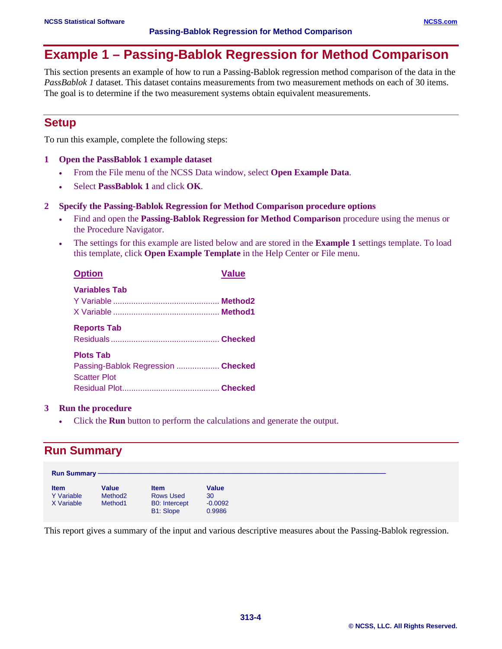# **Example 1 – Passing-Bablok Regression for Method Comparison**

This section presents an example of how to run a Passing-Bablok regression method comparison of the data in the *PassBablok 1* dataset. This dataset contains measurements from two measurement methods on each of 30 items. The goal is to determine if the two measurement systems obtain equivalent measurements.

## **Setup**

To run this example, complete the following steps:

- **1 Open the PassBablok 1 example dataset**
	- From the File menu of the NCSS Data window, select **Open Example Data**.
	- Select **PassBablok 1** and click **OK**.
- **2 Specify the Passing-Bablok Regression for Method Comparison procedure options**
	- Find and open the **Passing-Bablok Regression for Method Comparison** procedure using the menus or the Procedure Navigator.
	- The settings for this example are listed below and are stored in the **Example 1** settings template. To load this template, click **Open Example Template** in the Help Center or File menu.

| <b>Option</b>                                                                 | <b>Value</b> |
|-------------------------------------------------------------------------------|--------------|
| <b>Variables Tab</b>                                                          |              |
| <b>Reports Tab</b>                                                            |              |
| <b>Plots Tab</b><br>Passing-Bablok Regression  Checked<br><b>Scatter Plot</b> |              |
|                                                                               |              |

#### **3 Run the procedure**

• Click the **Run** button to perform the calculations and generate the output.

## **Run Summary**

| <b>Run Summary -</b>                           |                                                            |                                                                             |                                           |
|------------------------------------------------|------------------------------------------------------------|-----------------------------------------------------------------------------|-------------------------------------------|
| <b>Item</b><br><b>Y</b> Variable<br>X Variable | <b>Value</b><br>Method <sub>2</sub><br>Method <sub>1</sub> | <b>Item</b><br><b>Rows Used</b><br><b>B0:</b> Intercept<br><b>B1: Slope</b> | <b>Value</b><br>30<br>$-0.0092$<br>0.9986 |

This report gives a summary of the input and various descriptive measures about the Passing-Bablok regression.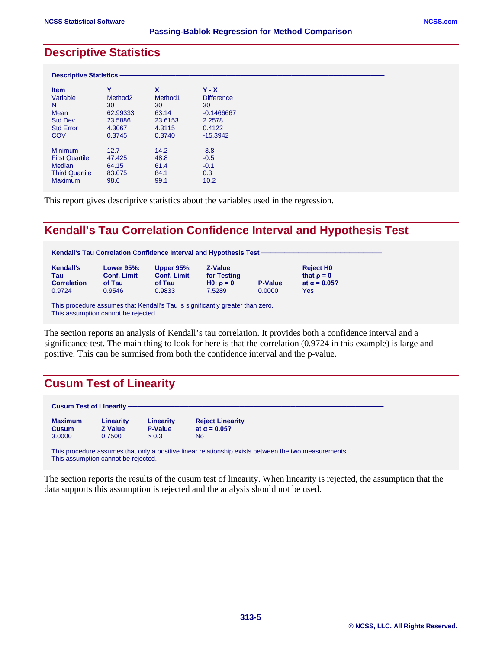### **Descriptive Statistics**

| <b>Descriptive Statistics -</b> |                     |                     |                   |  |
|---------------------------------|---------------------|---------------------|-------------------|--|
| <b>Item</b>                     | v                   | X                   | $Y - X$           |  |
| Variable                        | Method <sub>2</sub> | Method <sub>1</sub> | <b>Difference</b> |  |
| N                               | 30                  | 30                  | 30                |  |
| Mean                            | 62.99333            | 63.14               | $-0.1466667$      |  |
| <b>Std Dev</b>                  | 23.5886             | 23.6153             | 2.2578            |  |
| <b>Std Error</b>                | 4.3067              | 4.3115              | 0.4122            |  |
| COV                             | 0.3745              | 0.3740              | $-15.3942$        |  |
| <b>Minimum</b>                  | 12.7                | 14.2                | $-3.8$            |  |
| <b>First Quartile</b>           | 47.425              | 48.8                | $-0.5$            |  |
| <b>Median</b>                   | 64.15               | 61.4                | $-0.1$            |  |
| <b>Third Quartile</b>           | 83.075              | 84.1                | 0.3               |  |
| <b>Maximum</b>                  | 98.6                | 99.1                | 10.2              |  |

This report gives descriptive statistics about the variables used in the regression.

## **Kendall's Tau Correlation Confidence Interval and Hypothesis Test**

| Kendall's Tau Correlation Confidence Interval and Hypothesis Test - |
|---------------------------------------------------------------------|
|---------------------------------------------------------------------|

| <b>Kendall's</b>   | <b>Lower 95%:</b>  | <b>Upper 95%:</b>  | Z-Value        |                | <b>Reject HO</b>    |
|--------------------|--------------------|--------------------|----------------|----------------|---------------------|
| Tau                | <b>Conf. Limit</b> | <b>Conf. Limit</b> | for Testing    |                | that $\rho = 0$     |
| <b>Correlation</b> | of Tau             | of Tau             | $H0: \rho = 0$ | <b>P-Value</b> | at $\alpha$ = 0.05? |
| 0.9724             | 0.9546             | 0.9833             | 7.5289         | 0.0000         | Yes                 |

This procedure assumes that Kendall's Tau is significantly greater than zero. This assumption cannot be rejected.

The section reports an analysis of Kendall's tau correlation. It provides both a confidence interval and a significance test. The main thing to look for here is that the correlation (0.9724 in this example) is large and positive. This can be surmised from both the confidence interval and the p-value.

## **Cusum Test of Linearity**

| <b>Cusum Test of Linearity -</b>         |                                       |                                      |                                                                                                      |
|------------------------------------------|---------------------------------------|--------------------------------------|------------------------------------------------------------------------------------------------------|
| <b>Maximum</b><br><b>Cusum</b><br>3.0000 | Linearity<br><b>Z</b> Value<br>0.7500 | Linearity<br><b>P-Value</b><br>> 0.3 | <b>Reject Linearity</b><br>at $\alpha$ = 0.05?<br>No                                                 |
|                                          | This assumption cannot be rejected.   |                                      | This procedure assumes that only a positive linear relationship exists between the two measurements. |

The section reports the results of the cusum test of linearity. When linearity is rejected, the assumption that the data supports this assumption is rejected and the analysis should not be used.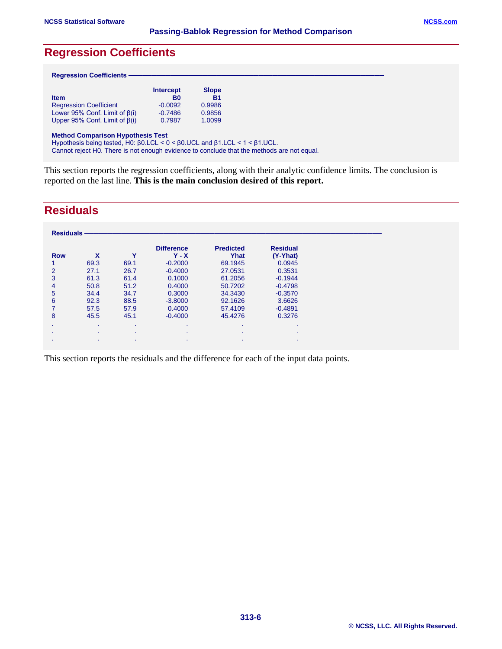#### **Passing-Bablok Regression for Method Comparison**

## **Regression Coefficients**

#### $Regression Coefficients$

| <b>Item</b>                              | <b>Intercept</b><br>B <sub>0</sub> | <b>Slope</b><br><b>B1</b> |  |
|------------------------------------------|------------------------------------|---------------------------|--|
| <b>Regression Coefficient</b>            | $-0.0092$                          | 0.9986                    |  |
| Lower 95% Conf. Limit of $\beta(i)$      | $-0.7486$                          | 0.9856                    |  |
| Upper 95% Conf. Limit of $\beta(i)$      | 0.7987                             | 1.0099                    |  |
| <b>Method Comparison Hypothesis Test</b> |                                    |                           |  |

Hypothesis being tested, H0: β0.LCL < 0 < β0.UCL and β1.LCL < 1 < β1.UCL.

Cannot reject H0. There is not enough evidence to conclude that the methods are not equal.

This section reports the regression coefficients, along with their analytic confidence limits. The conclusion is reported on the last line. **This is the main conclusion desired of this report.**

## **Residuals**

| <b>Residuals</b> |           |           |                              |                          |                             |
|------------------|-----------|-----------|------------------------------|--------------------------|-----------------------------|
| <b>Row</b>       | X         | Υ         | <b>Difference</b><br>$Y - X$ | <b>Predicted</b><br>Yhat | <b>Residual</b><br>(Y-Yhat) |
|                  | 69.3      | 69.1      | $-0.2000$                    | 69.1945                  | 0.0945                      |
| $\overline{2}$   | 27.1      | 26.7      | $-0.4000$                    | 27.0531                  | 0.3531                      |
| 3                | 61.3      | 61.4      | 0.1000                       | 61.2056                  | $-0.1944$                   |
| 4                | 50.8      | 51.2      | 0.4000                       | 50.7202                  | $-0.4798$                   |
| 5                | 34.4      | 34.7      | 0.3000                       | 34.3430                  | $-0.3570$                   |
| 6                | 92.3      | 88.5      | $-3.8000$                    | 92.1626                  | 3.6626                      |
|                  | 57.5      | 57.9      | 0.4000                       | 57.4109                  | $-0.4891$                   |
| 8                | 45.5      | 45.1      | $-0.4000$                    | 45.4276                  | 0.3276                      |
| $\sim$           | $\bullet$ | $\bullet$ | $\sim$                       |                          | $\bullet$                   |
| $\cdot$          | $\bullet$ | $\bullet$ | $\bullet$                    | $\sim$                   | $\bullet$                   |
| $\mathbf{r}$     | $\bullet$ | $\bullet$ | $\bullet$                    | $\sim$                   | ٠                           |

This section reports the residuals and the difference for each of the input data points.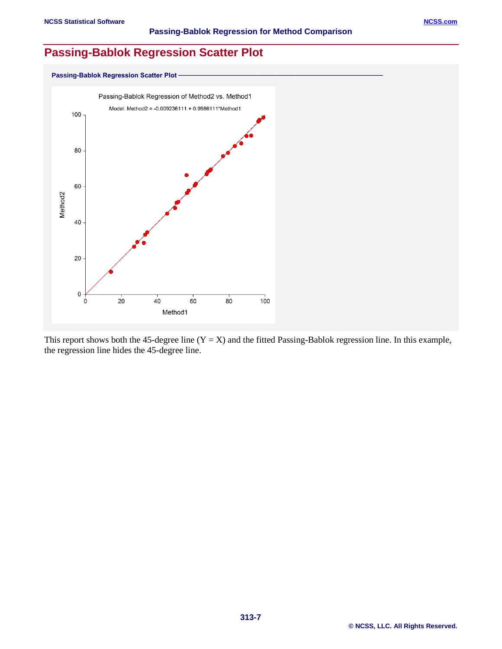### **Passing-Bablok Regression Scatter Plot**



This report shows both the 45-degree line  $(Y = X)$  and the fitted Passing-Bablok regression line. In this example, the regression line hides the 45-degree line.